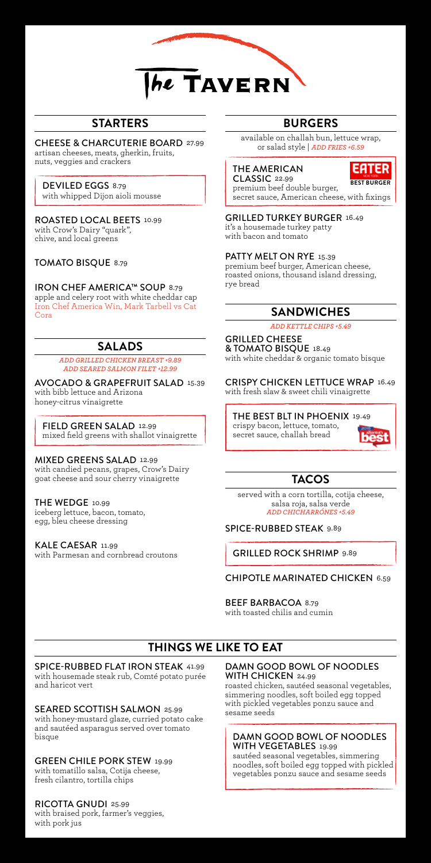

## **STARTERS**

CHEESE & CHARCUTERIE BOARD 27.99 artisan cheeses, meats, gherkin, fruits, nuts, veggies and crackers

DEVILED EGGS 8.79 with whipped Dijon aioli mousse

ROASTED LOCAL BEETS 10.99 with Crow's Dairy "quark", chive, and local greens

TOMATO BISQUE 8.79

IRON CHEF AMERICA™ SOUP 8.79 apple and celery root with white cheddar cap Iron Chef America Win, Mark Tarbell vs Cat Cora

## **SALADS**

*ADD GRILLED CHICKEN BREAST +9.89 ADD SEARED SALMON FILET +12.99*

AVOCADO & GRAPEFRUIT SALAD 15.39 with bibb lettuce and Arizona honey-citrus vinaigrette

FIELD GREEN SALAD 12.99 mixed field greens with shallot vinaigrette

MIXED GREENS SALAD 12.99

with candied pecans, grapes, Crow's Dairy goat cheese and sour cherry vinaigrette

THE WEDGE 10.99

iceberg lettuce, bacon, tomato, egg, bleu cheese dressing

KALE CAESAR 11.99 with Parmesan and cornbread croutons

# **BURGERS**

available on challah bun, lettuce wrap, or salad style | *ADD FRIES +6.59*

## THE AMERICAN



CLASSIC 22.99 premium beef double burger, secret sauce, American cheese, with fixings **BEST BURGER**

GRILLED TURKEY BURGER 16.49 it's a housemade turkey patty with bacon and tomato

PATTY MELT ON RYE 15.39

premium beef burger, American cheese, roasted onions, thousand island dressing, rye bread

## **SANDWICHES**

*ADD KETTLE CHIPS +5.49*

GRILLED CHEESE & TOMATO BISQUE 18.49 with white cheddar & organic tomato bisque

CRISPY CHICKEN LETTUCE WRAP 16.49 with fresh slaw & sweet chili vinaigrette

THE BEST BLT IN PHOENIX 19.49 crispy bacon, lettuce, tomato, secret sauce, challah bread



# **TACOS**

served with a corn tortilla, cotija cheese, salsa roja, salsa verde *ADD CHICHARRÓNES +5.49*

SPICE-RUBBED STEAK 9.89

GRILLED ROCK SHRIMP 9.89

## CHIPOTLE MARINATED CHICKEN 6.59

BEEF BARBACOA 8.79

with toasted chilis and cumin

## **THINGS WE LIKE TO EAT**

# SPICE-RUBBED FLAT IRON STEAK 41.99

with housemade steak rub, Comté potato purée and haricot vert

SEARED SCOTTISH SALMON 25.99

with honey-mustard glaze, curried potato cake and sautéed asparagus served over tomato bisque

## GREEN CHILE PORK STEW 19.99

with tomatillo salsa, Cotija cheese, fresh cilantro, tortilla chips

## RICOTTA GNUDI 25.99

with braised pork, farmer's veggies, with pork jus

DAMN GOOD BOWL OF NOODLES WITH CHICKEN 24.99

roasted chicken, sautéed seasonal vegetables, simmering noodles, soft boiled egg topped with pickled vegetables ponzu sauce and sesame seeds

### DAMN GOOD BOWL OF NOODLES WITH VEGETABLES 19.99

sautéed seasonal vegetables, simmering noodles, soft boiled egg topped with pickled vegetables ponzu sauce and sesame seeds